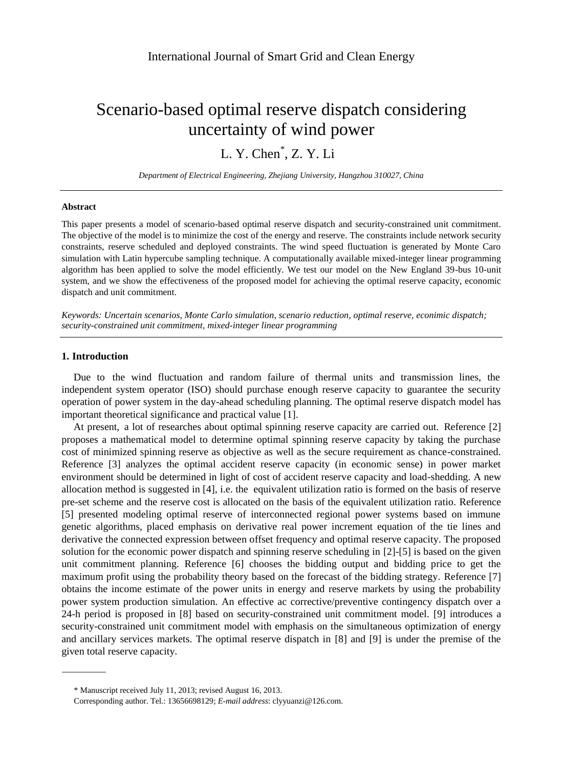# Scenario-based optimal reserve dispatch considering uncertainty of wind power

L. Y. Chen<sup>\*</sup>, Z. Y. Li

*Department of Electrical Engineering, Zhejiang University, Hangzhou 310027, China*

#### **Abstract**

This paper presents a model of scenario-based optimal reserve dispatch and security-constrained unit commitment. The objective of the model is to minimize the cost of the energy and reserve. The constraints include network security constraints, reserve scheduled and deployed constraints. The wind speed fluctuation is generated by Monte Caro simulation with Latin hypercube sampling technique. A computationally available mixed-integer linear programming algorithm has been applied to solve the model efficiently. We test our model on the New England 39-bus 10-unit system, and we show the effectiveness of the proposed model for achieving the optimal reserve capacity, economic dispatch and unit commitment.

*Keywords: Uncertain scenarios, Monte Carlo simulation, scenario reduction, optimal reserve, econimic dispatch; security-constrained unit commitment, mixed-integer linear programming*

# **1. Introduction**

Due to the wind fluctuation and random failure of thermal units and transmission lines, the independent system operator (ISO) should purchase enough reserve capacity to guarantee the security operation of power system in the day-ahead scheduling planning. The optimal reserve dispatch model has important theoretical significance and practical value [\[1\]](#page-5-0).

At present, a lot of researches about optimal spinning reserve capacity are carried out. Reference [\[2\]](#page-5-1) proposes a mathematical model to determine optimal spinning reserve capacity by taking the purchase cost of minimized spinning reserve as objective as well as the secure requirement as chance-constrained. Reference [\[3\]](#page-5-2) analyzes the optimal accident reserve capacity (in economic sense) in power market environment should be determined in light of cost of accident reserve capacity and load-shedding. A new allocation method is suggested in [\[4\]](#page-5-3), i.e. the equivalent utilization ratio is formed on the basis of reserve pre-set scheme and the reserve cost is allocated on the basis of the equivalent utilization ratio. Reference [\[5\]](#page-5-4) presented modeling optimal reserve of interconnected regional power systems based on immune genetic algorithms, placed emphasis on derivative real power increment equation of the tie lines and derivative the connected expression between offset frequency and optimal reserve capacity. The proposed solution for the economic power dispatch and spinning reserve scheduling in [\[2\]-\[5\]](#page-5-1) is based on the given unit commitment planning. Reference [\[6\]](#page-5-5) chooses the bidding output and bidding price to get the maximum profit using the probability theory based on the forecast of the bidding strategy. Reference [\[7\]](#page-5-6) obtains the income estimate of the power units in energy and reserve markets by using the probability power system production simulation. An effective ac corrective/preventive contingency dispatch over a 24-h period is proposed in [\[8\]](#page-5-7) based on security-constrained unit commitment model. [\[9\]](#page-5-8) introduces a security-constrained unit commitment model with emphasis on the simultaneous optimization of energy and ancillary services markets. The optimal reserve dispatch in [\[8\]](#page-5-7) and [\[9\]](#page-5-8) is under the premise of the given total reserve capacity.

<sup>\*</sup> Manuscript received July 11, 2013; revised August 16, 2013.

Corresponding author. Tel.: 13656698129; *E-mail address*: clyyuanzi@126.com.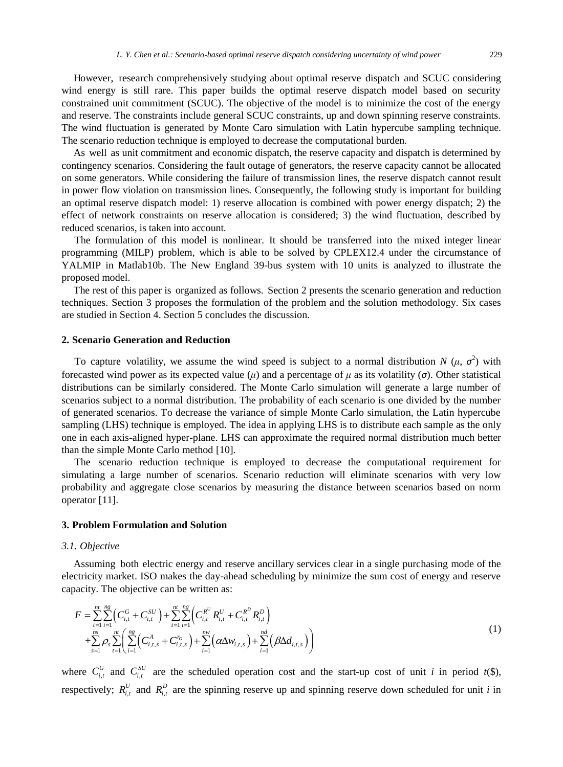However, research comprehensively studying about optimal reserve dispatch and SCUC considering wind energy is still rare. This paper builds the optimal reserve dispatch model based on security constrained unit commitment (SCUC). The objective of the model is to minimize the cost of the energy and reserve. The constraints include general SCUC constraints, up and down spinning reserve constraints. The wind fluctuation is generated by Monte Caro simulation with Latin hypercube sampling technique. The scenario reduction technique is employed to decrease the computational burden.

As well as unit commitment and economic dispatch, the reserve capacity and dispatch is determined by contingency scenarios. Considering the fault outage of generators, the reserve capacity cannot be allocated on some generators. While considering the failure of transmission lines, the reserve dispatch cannot result in power flow violation on transmission lines. Consequently, the following study is important for building an optimal reserve dispatch model: 1) reserve allocation is combined with power energy dispatch; 2) the effect of network constraints on reserve allocation is considered; 3) the wind fluctuation, described by reduced scenarios, is taken into account.

The formulation of this model is nonlinear. It should be transferred into the mixed integer linear programming (MILP) problem, which is able to be solved by CPLEX12.4 under the circumstance of YALMIP in Matlab10b. The New England 39-bus system with 10 units is analyzed to illustrate the proposed model.

The rest of this paper is organized as follows. Section 2 presents the scenario generation and reduction techniques. Section 3 proposes the formulation of the problem and the solution methodology. Six cases are studied in Section 4. Section 5 concludes the discussion.

## **2. Scenario Generation and Reduction**

To capture volatility, we assume the wind speed is subject to a normal distribution  $N(\mu, \sigma^2)$  with forecasted wind power as its expected value  $(\mu)$  and a percentage of  $\mu$  as its volatility ( $\sigma$ ). Other statistical distributions can be similarly considered. The Monte Carlo simulation will generate a large number of scenarios subject to a normal distribution. The probability of each scenario is one divided by the number of generated scenarios. To decrease the variance of simple Monte Carlo simulation, the Latin hypercube sampling (LHS) technique is employed. The idea in applying LHS is to distribute each sample as the only one in each axis-aligned hyper-plane. LHS can approximate the required normal distribution much better than the simple Monte Carlo method [\[10\]](#page-5-9).

The scenario reduction technique is employed to decrease the computational requirement for simulating a large number of scenarios. Scenario reduction will eliminate scenarios with very low probability and aggregate close scenarios by measuring the distance between scenarios based on norm operator [\[11\]](#page-5-10).

## **3. Problem Formulation and Solution**

#### *3.1. Objective*

Assuming both electric energy and reserve ancillary services clear in a single purchasing mode of the electricity market. ISO makes the day-ahead scheduling by minimize the sum cost of energy and reserve capacity. The objective can be written as:

$$
F = \sum_{t=1}^{nt} \sum_{i=1}^{ng} \left( C_{i,t}^G + C_{i,t}^{SU} \right) + \sum_{t=1}^{nt} \sum_{i=1}^{ng} \left( C_{i,t}^{R^U} R_{i,t}^U + C_{i,t}^{R^D} R_{i,t}^D \right) + \sum_{s=1}^{ns} \rho_s \sum_{t=1}^{nt} \left( \sum_{i=1}^{ng} \left( C_{i,t,s}^A + C_{i,t,s}^{r_G} \right) + \sum_{i=1}^{nw} \left( \alpha \Delta w_{i,t,s} \right) + \sum_{i=1}^{nd} \left( \beta \Delta d_{i,t,s} \right) \right)
$$
(1)

where  $C_{i,t}^G$  and  $C_{i,t}^{SU}$  are the scheduled operation cost and the start-up cost of unit *i* in period  $t(\$)$ , respectively;  $R_{i,t}^U$  and  $R_{i,t}^D$  are the spinning reserve up and spinning reserve down scheduled for unit *i* in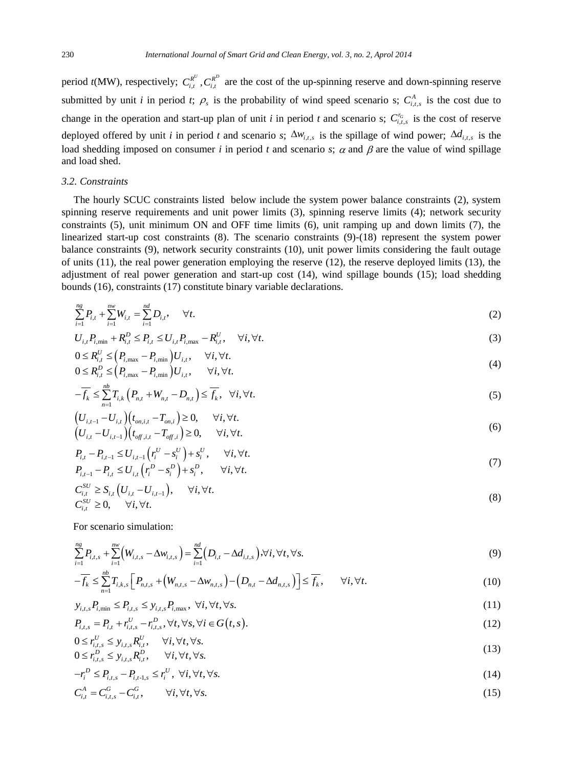period  $t(MW)$ , respectively;  $C_{i,t}^{R^U}, C_{i,t}^{R^D}$  are the cost of the up-spinning reserve and down-spinning reserve submitted by unit *i* in period *t*;  $\rho_s$  is the probability of wind speed scenario s;  $C_{i,t,s}^A$  is the cost due to change in the operation and start-up plan of unit *i* in period *t* and scenario s;  $C_{i,t,s}^{r_G}$  is the cost of reserve deployed offered by unit *i* in period *t* and scenario *s*;  $\Delta w_{i,t,s}$  is the spillage of wind power;  $\Delta d_{i,t,s}$  is the load shedding imposed on consumer *i* in period *t* and scenario *s*;  $\alpha$  and  $\beta$  are the value of wind spillage and load shed.

# *3.2. Constraints*

The hourly SCUC constraints listed below include the system power balance constraints (2), system spinning reserve requirements and unit power limits (3), spinning reserve limits (4); network security constraints (5), unit minimum ON and OFF time limits (6), unit ramping up and down limits (7), the linearized start-up cost constraints (8). The scenario constraints (9)-(18) represent the system power balance constraints (9), network security constraints (10), unit power limits considering the fault outage of units  $(11)$ , the real power generation employing the reserve  $(12)$ , the reserve deployed limits  $(13)$ , the adjustment of real power generation and start-up cost (14), wind spillage bounds (15); load shedding bounds (16), constraints (17) constitute binary variable declarations.

$$
\sum_{i=1}^{ng} P_{i,t} + \sum_{i=1}^{nw} W_{i,t} = \sum_{i=1}^{nd} D_{i,t}, \quad \forall t.
$$
 (2)

$$
U_{i,t}P_{i,\min} + R_{i,t}^D \le P_{i,t} \le U_{i,t}P_{i,\max} - R_{i,t}^U, \quad \forall i, \forall t.
$$
\n(3)

$$
0 \le R_{i,t}^U \le \left(P_{i,\text{max}} - P_{i,\text{min}}\right) U_{i,t}, \quad \forall i, \forall t.
$$
  
\n
$$
0 \le R_{i,t}^D \le \left(P_{i,\text{max}} - P_{i,\text{min}}\right) U_{i,t}, \quad \forall i, \forall t.
$$
\n(4)

$$
-\overline{f_k} \le \sum_{n=1}^{nb} T_{i,k} \left( P_{n,t} + W_{n,t} - D_{n,t} \right) \le \overline{f_k}, \quad \forall i, \forall t.
$$
\n
$$
(5)
$$

$$
\begin{aligned} \left(U_{i,t-1} - U_{i,t}\right) \left(t_{on,i,t} - T_{on,i}\right) &\ge 0, \qquad \forall i, \forall t.\\ \left(U_{i,t} - U_{i,t-1}\right) \left(t_{off,i,t} - T_{off,i}\right) &\ge 0, \qquad \forall i, \forall t. \end{aligned} \tag{6}
$$

$$
P_{i,t} - P_{i,t-1} \le U_{i,t-1} \left( r_i^U - s_i^U \right) + s_i^U, \quad \forall i, \forall t.
$$
  
\n
$$
P_{i,t-1} - P_{i,t} \le U_{i,t} \left( r_i^D - s_i^D \right) + s_i^D, \quad \forall i, \forall t.
$$
 (7)

$$
C_{i,t}^{SU} \ge S_{i,t} \left( U_{i,t} - U_{i,t-1} \right), \quad \forall i, \forall t.
$$
  
\n
$$
C_{i,t}^{SU} \ge 0, \quad \forall i, \forall t.
$$
\n(8)

For scenario simulation:

$$
\sum_{i=1}^{ng} P_{i,t,s} + \sum_{i=1}^{nw} \left( W_{i,t,s} - \Delta w_{i,t,s} \right) = \sum_{i=1}^{nd} \left( D_{i,t} - \Delta d_{i,t,s} \right), \forall i, \forall t, \forall s.
$$
\n(9)

$$
-\overline{f_k} \leq \sum_{n=1}^{nb} T_{i,k,s} \left[ P_{n,t,s} + \left( W_{n,t,s} - \Delta w_{n,t,s} \right) - \left( D_{n,t} - \Delta d_{n,t,s} \right) \right] \leq \overline{f_k}, \qquad \forall i, \forall t.
$$
\n(10)

$$
y_{i,t,s}P_{i,\min} \le P_{i,t,s} \le y_{i,t,s}P_{i,\max}, \ \forall i, \forall t, \forall s. \tag{11}
$$

$$
P_{i,t,s} = P_{i,t} + r_{i,t,s}^U - r_{i,t,s}^D, \forall t, \forall s, \forall i \in G(t,s).
$$
\n(12)

$$
0 \le r_{i,t,s}^U \le y_{i,t,s} R_{i,t}^U, \quad \forall i, \forall t, \forall s.
$$
  
\n
$$
0 \le r_{i,t,s}^D \le y_{i,t,s} R_{i,t}^D, \quad \forall i, \forall t, \forall s.
$$
\n(13)

$$
0 \le r_{i,t,s}^D \le y_{i,t,s} R_{i,t}^D, \qquad \forall i, \forall t, \forall s. \tag{15}
$$

$$
-r_i^D \le P_{i,t,s} - P_{i,t-1,s} \le r_i^U, \ \forall i, \forall t, \forall s.
$$
  
\n
$$
C_{i,t}^A = C_{i,t,s}^G - C_{i,t}^G, \qquad \forall i, \forall t, \forall s.
$$
\n(14)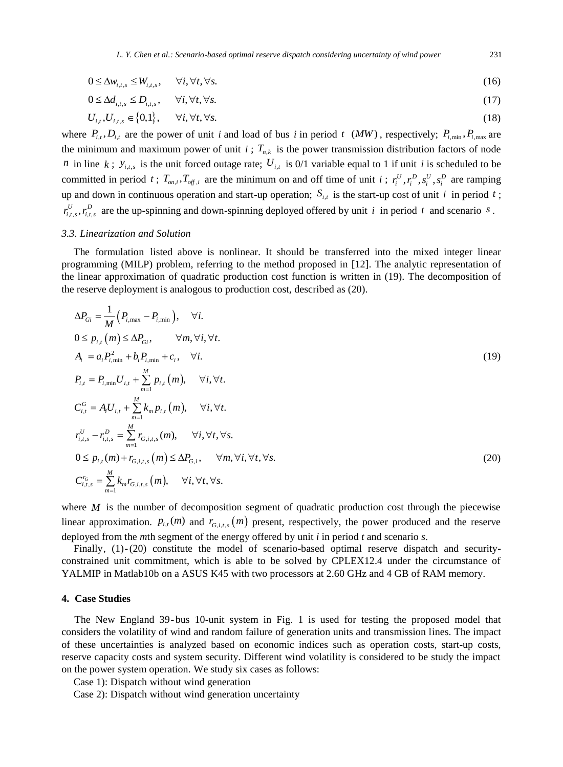*L. Y. Chen et al.: Scenario-based optimal reserve dispatch considering uncertainty of wind power* 231

$$
0 \le \Delta w_{i,t,s} \le W_{i,t,s}, \quad \forall i, \forall t, \forall s. \tag{16}
$$

$$
0 \le \Delta d_{i,t,s} \le D_{i,t,s}, \quad \forall i, \forall t, \forall s. \tag{17}
$$

$$
U_{i,t}, U_{i,t,s} \in \{0,1\}, \quad \forall i, \forall t, \forall s. \tag{18}
$$

where  $P_{i,t}$ ,  $D_{i,t}$  are the power of unit *i* and load of bus *i* in period *t* (*MW*), respectively;  $P_{i,\text{min}}$ ,  $P_{i,\text{max}}$  are the minimum and maximum power of unit  $i$ ;  $T_{nk}$  is the power transmission distribution factors of node *n* in line *k*;  $y_{i,t,s}$  is the unit forced outage rate;  $U_{i,t}$  is 0/1 variable equal to 1 if unit *i* is scheduled to be committed in period *t*;  $T_{on,i}$ ,  $T_{off,i}$  are the minimum on and off time of unit *i*;  $r_i^U$ ,  $r_i^D$ ,  $s_i^U$ ,  $s_i^D$  are ramping up and down in continuous operation and start-up operation;  $S_{i,t}$  is the start-up cost of unit *i* in period *t*;  $r_{i,t,s}^U$ ,  $r_{i,t,s}^D$  are the up-spinning and down-spinning deployed offered by unit *i* in period *t* and scenario *s*.

## *3.3. Linearization and Solution*

The formulation listed above is nonlinear. It should be transferred into the mixed integer linear programming (MILP) problem, referring to the method proposed in [\[12\]](#page-5-11). The analytic representation of the linear approximation of quadratic production cost function is written in (19). The decomposition of the reserve deployment is analogous to production cost, described as (20).

$$
\Delta P_{Gi} = \frac{1}{M} (P_{i,\text{max}} - P_{i,\text{min}}), \quad \forall i.
$$
  
\n
$$
0 \le p_{i,t} (m) \le \Delta P_{Gi}, \quad \forall m, \forall i, \forall t.
$$
  
\n
$$
A_i = a_i P_{i,\text{min}}^2 + b_i P_{i,\text{min}} + c_i, \quad \forall i.
$$
  
\n
$$
P_{i,t} = P_{i,\text{min}} U_{i,t} + \sum_{m=1}^M p_{i,t} (m), \quad \forall i, \forall t.
$$
  
\n
$$
C_{i,t}^G = A_i U_{i,t} + \sum_{m=1}^M k_m p_{i,t} (m), \quad \forall i, \forall t.
$$
  
\n
$$
r_{i,t,s}^U - r_{i,t,s}^D = \sum_{m=1}^M r_{Gi,t,s} (m), \quad \forall i, \forall t, \forall s.
$$
  
\n
$$
0 \le p_{i,t} (m) + r_{Gi,t,s} (m) \le \Delta P_{Gi}, \quad \forall m, \forall i, \forall t, \forall s.
$$
  
\n(20)  
\n
$$
C_{i,t,s}^{\tau_G} = \sum_{m=1}^M k_m r_{Gi,t,s} (m), \quad \forall i, \forall t, \forall s.
$$

where  $M$  is the number of decomposition segment of quadratic production cost through the piecewise linear approximation.  $p_{i,t}(m)$  and  $r_{G,i,t,s}(m)$  present, respectively, the power produced and the reserve deployed from the *m*th segment of the energy offered by unit *i* in period *t* and scenario *s*.

Finally,  $(1)-(20)$  constitute the model of scenario-based optimal reserve dispatch and securityconstrained unit commitment, which is able to be solved by CPLEX12.4 under the circumstance of YALMIP in Matlab10b on a ASUS K45 with two processors at 2.60 GHz and 4 GB of RAM memory.

## **4. Case Studies**

The New England 39- bus 10-unit system in Fig. 1 is used for testing the proposed model that considers the volatility of wind and random failure of generation units and transmission lines. The impact of these uncertainties is analyzed based on economic indices such as operation costs, start-up costs, reserve capacity costs and system security. Different wind volatility is considered to be study the impact on the power system operation. We study six cases as follows:

Case 1): Dispatch without wind generation

Case 2): Dispatch without wind generation uncertainty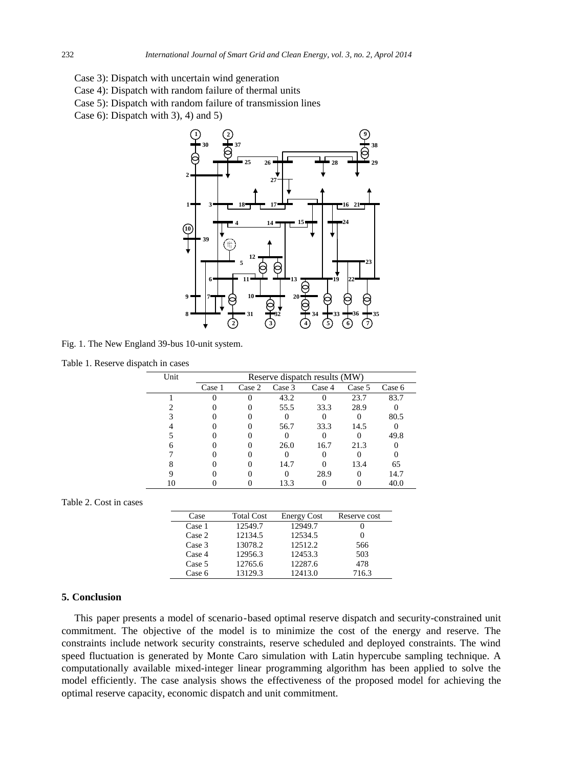- Case 3): Dispatch with uncertain wind generation
- Case 4): Dispatch with random failure of thermal units
- Case 5): Dispatch with random failure of transmission lines
- Case 6): Dispatch with 3), 4) and 5)



Fig. 1. The New England 39-bus 10-unit system.

| Table 1. Reserve dispatch in cases |  |  |  |
|------------------------------------|--|--|--|
|------------------------------------|--|--|--|

| Unit | Reserve dispatch results (MW) |        |        |        |        |        |
|------|-------------------------------|--------|--------|--------|--------|--------|
|      | Case 1                        | Case 2 | Case 3 | Case 4 | Case 5 | Case 6 |
|      |                               |        | 43.2   |        | 23.7   | 83.7   |
|      |                               |        | 55.5   | 33.3   | 28.9   |        |
|      |                               |        |        |        |        | 80.5   |
|      |                               |        | 56.7   | 33.3   | 14.5   |        |
|      |                               |        |        |        |        | 49.8   |
|      |                               |        | 26.0   | 16.7   | 21.3   |        |
|      |                               |        |        |        |        |        |
|      |                               |        | 14.7   |        | 13.4   | 65     |
|      |                               |        |        | 28.9   |        | 14.7   |
|      |                               |        | 13.3   |        |        | 40.0   |

### Table 2. Cost in cases

| Case   | <b>Total Cost</b> | <b>Energy Cost</b> | Reserve cost |
|--------|-------------------|--------------------|--------------|
| Case 1 | 12549.7           | 12949.7            |              |
| Case 2 | 12134.5           | 12534.5            |              |
| Case 3 | 13078.2           | 12512.2            | 566          |
| Case 4 | 12956.3           | 12453.3            | 503          |
| Case 5 | 12765.6           | 12287.6            | 478          |
| Case 6 | 13129.3           | 12413.0            | 716.3        |

# **5. Conclusion**

This paper presents a model of scenario-based optimal reserve dispatch and security-constrained unit commitment. The objective of the model is to minimize the cost of the energy and reserve. The constraints include network security constraints, reserve scheduled and deployed constraints. The wind speed fluctuation is generated by Monte Caro simulation with Latin hypercube sampling technique. A computationally available mixed-integer linear programming algorithm has been applied to solve the model efficiently. The case analysis shows the effectiveness of the proposed model for achieving the optimal reserve capacity, economic dispatch and unit commitment.